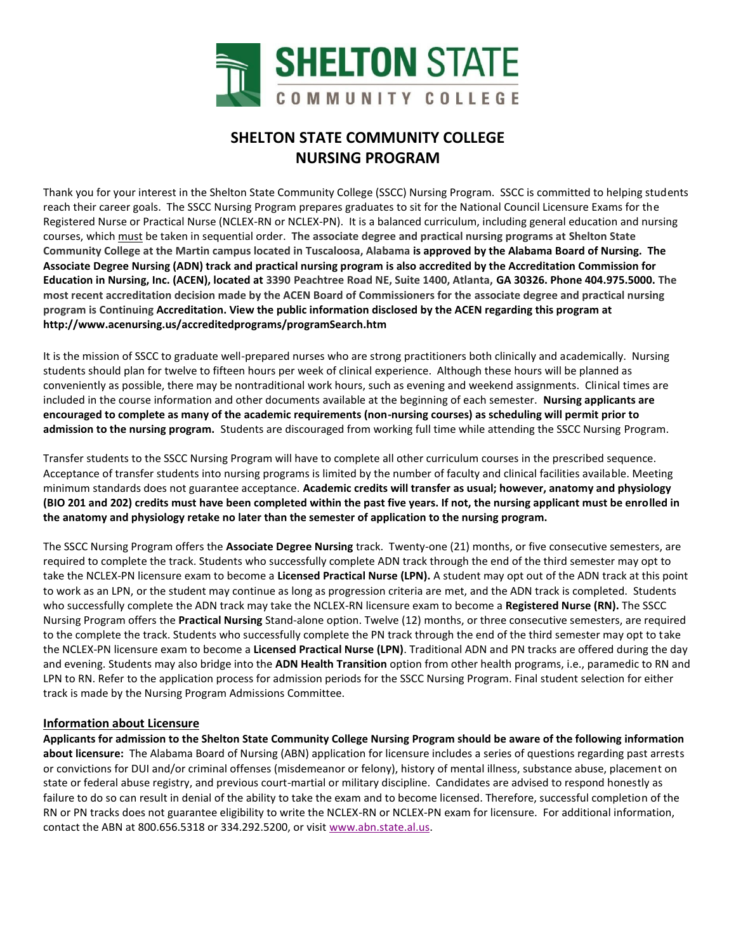

# **SHELTON STATE COMMUNITY COLLEGE NURSING PROGRAM**

Thank you for your interest in the Shelton State Community College (SSCC) Nursing Program. SSCC is committed to helping students reach their career goals. The SSCC Nursing Program prepares graduates to sit for the National Council Licensure Exams for the Registered Nurse or Practical Nurse (NCLEX-RN or NCLEX-PN). It is a balanced curriculum, including general education and nursing courses, which must be taken in sequential order. **The associate degree and practical nursing programs at Shelton State Community College at the Martin campus located in Tuscaloosa, Alabama is approved by the Alabama Board of Nursing. The Associate Degree Nursing (ADN) track and practical nursing program is also accredited by the Accreditation Commission for Education in Nursing, Inc. (ACEN), located at 3390 Peachtree Road NE, Suite 1400, Atlanta, GA 30326. Phone 404.975.5000. The most recent accreditation decision made by the ACEN Board of Commissioners for the associate degree and practical nursing program is Continuing Accreditation. View the public information disclosed by the ACEN regarding this program at http://www.acenursing.us/accreditedprograms/programSearch.htm**

It is the mission of SSCC to graduate well-prepared nurses who are strong practitioners both clinically and academically. Nursing students should plan for twelve to fifteen hours per week of clinical experience. Although these hours will be planned as conveniently as possible, there may be nontraditional work hours, such as evening and weekend assignments. Clinical times are included in the course information and other documents available at the beginning of each semester. **Nursing applicants are encouraged to complete as many of the academic requirements (non-nursing courses) as scheduling will permit prior to admission to the nursing program.** Students are discouraged from working full time while attending the SSCC Nursing Program.

Transfer students to the SSCC Nursing Program will have to complete all other curriculum courses in the prescribed sequence. Acceptance of transfer students into nursing programs is limited by the number of faculty and clinical facilities available. Meeting minimum standards does not guarantee acceptance. **Academic credits will transfer as usual; however, anatomy and physiology (BIO 201 and 202) credits must have been completed within the past five years. If not, the nursing applicant must be enrolled in the anatomy and physiology retake no later than the semester of application to the nursing program.** 

The SSCC Nursing Program offers the **Associate Degree Nursing** track. Twenty-one (21) months, or five consecutive semesters, are required to complete the track. Students who successfully complete ADN track through the end of the third semester may opt to take the NCLEX-PN licensure exam to become a **Licensed Practical Nurse (LPN).** A student may opt out of the ADN track at this point to work as an LPN, or the student may continue as long as progression criteria are met, and the ADN track is completed. Students who successfully complete the ADN track may take the NCLEX-RN licensure exam to become a **Registered Nurse (RN).** The SSCC Nursing Program offers the **Practical Nursing** Stand-alone option. Twelve (12) months, or three consecutive semesters, are required to the complete the track. Students who successfully complete the PN track through the end of the third semester may opt to take the NCLEX-PN licensure exam to become a **Licensed Practical Nurse (LPN)**. Traditional ADN and PN tracks are offered during the day and evening. Students may also bridge into the **ADN Health Transition** option from other health programs, i.e., paramedic to RN and LPN to RN. Refer to the application process for admission periods for the SSCC Nursing Program. Final student selection for either track is made by the Nursing Program Admissions Committee.

#### **Information about Licensure**

**Applicants for admission to the Shelton State Community College Nursing Program should be aware of the following information about licensure:** The Alabama Board of Nursing (ABN) application for licensure includes a series of questions regarding past arrests or convictions for DUI and/or criminal offenses (misdemeanor or felony), history of mental illness, substance abuse, placement on state or federal abuse registry, and previous court-martial or military discipline. Candidates are advised to respond honestly as failure to do so can result in denial of the ability to take the exam and to become licensed. Therefore, successful completion of the RN or PN tracks does not guarantee eligibility to write the NCLEX-RN or NCLEX-PN exam for licensure. For additional information, contact the ABN at 800.656.5318 or 334.292.5200, or visit [www.abn.state.al.us.](http://www.abn.state.al.us/)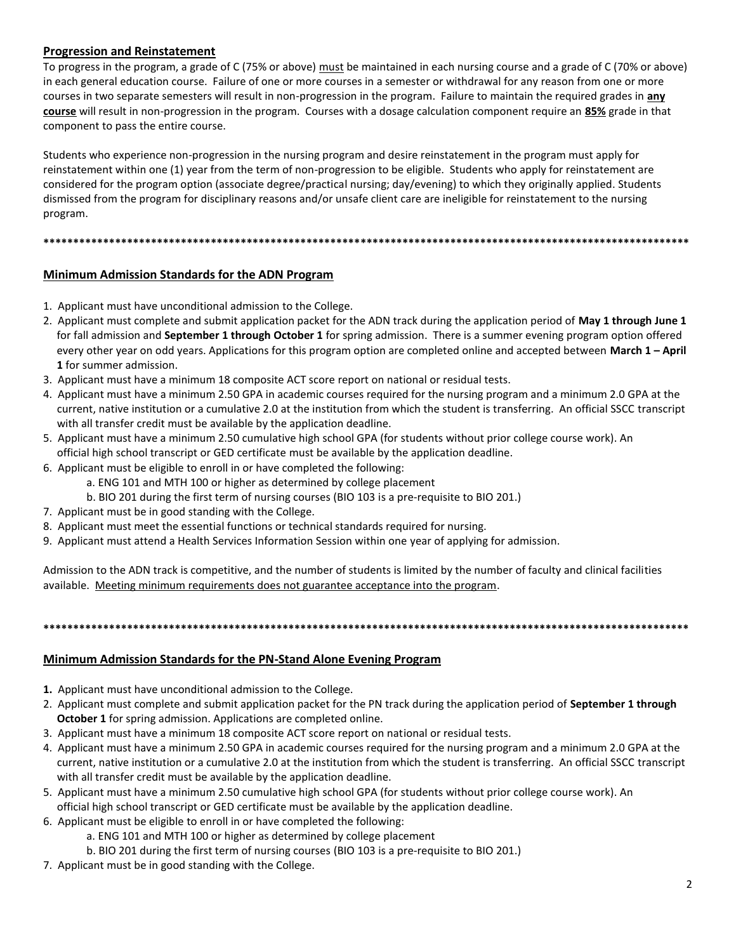# **Progression and Reinstatement**

To progress in the program, a grade of C (75% or above) must be maintained in each nursing course and a grade of C (70% or above) in each general education course. Failure of one or more courses in a semester or withdrawal for any reason from one or more courses in two separate semesters will result in non-progression in the program. Failure to maintain the required grades in **any course** will result in non-progression in the program. Courses with a dosage calculation component require an **85%** grade in that component to pass the entire course.

Students who experience non-progression in the nursing program and desire reinstatement in the program must apply for reinstatement within one (1) year from the term of non-progression to be eligible. Students who apply for reinstatement are considered for the program option (associate degree/practical nursing; day/evening) to which they originally applied. Students dismissed from the program for disciplinary reasons and/or unsafe client care are ineligible for reinstatement to the nursing program.

**\*\*\*\*\*\*\*\*\*\*\*\*\*\*\*\*\*\*\*\*\*\*\*\*\*\*\*\*\*\*\*\*\*\*\*\*\*\*\*\*\*\*\*\*\*\*\*\*\*\*\*\*\*\*\*\*\*\*\*\*\*\*\*\*\*\*\*\*\*\*\*\*\*\*\*\*\*\*\*\*\*\*\*\*\*\*\*\*\*\*\*\*\*\*\*\*\*\*\*\*\*\*\*\*\*\*\*\***

# **Minimum Admission Standards for the ADN Program**

- 1. Applicant must have unconditional admission to the College.
- 2. Applicant must complete and submit application packet for the ADN track during the application period of **May 1 through June 1** for fall admission and **September 1 through October 1** for spring admission. There is a summer evening program option offered every other year on odd years. Applications for this program option are completed online and accepted between **March 1 – April 1** for summer admission.
- 3. Applicant must have a minimum 18 composite ACT score report on national or residual tests.
- 4. Applicant must have a minimum 2.50 GPA in academic courses required for the nursing program and a minimum 2.0 GPA at the current, native institution or a cumulative 2.0 at the institution from which the student is transferring. An official SSCC transcript with all transfer credit must be available by the application deadline.
- 5. Applicant must have a minimum 2.50 cumulative high school GPA (for students without prior college course work). An official high school transcript or GED certificate must be available by the application deadline.
- 6. Applicant must be eligible to enroll in or have completed the following:
	- a. ENG 101 and MTH 100 or higher as determined by college placement
	- b. BIO 201 during the first term of nursing courses (BIO 103 is a pre-requisite to BIO 201.)
- 7. Applicant must be in good standing with the College.
- 8. Applicant must meet the essential functions or technical standards required for nursing.
- 9. Applicant must attend a Health Services Information Session within one year of applying for admission.

Admission to the ADN track is competitive, and the number of students is limited by the number of faculty and clinical facilities available. Meeting minimum requirements does not guarantee acceptance into the program.

**\*\*\*\*\*\*\*\*\*\*\*\*\*\*\*\*\*\*\*\*\*\*\*\*\*\*\*\*\*\*\*\*\*\*\*\*\*\*\*\*\*\*\*\*\*\*\*\*\*\*\*\*\*\*\*\*\*\*\*\*\*\*\*\*\*\*\*\*\*\*\*\*\*\*\*\*\*\*\*\*\*\*\*\*\*\*\*\*\*\*\*\*\*\*\*\*\*\*\*\*\*\*\*\*\*\*\*\***

#### **Minimum Admission Standards for the PN-Stand Alone Evening Program**

- **1.** Applicant must have unconditional admission to the College.
- 2. Applicant must complete and submit application packet for the PN track during the application period of **September 1 through October 1** for spring admission. Applications are completed online.
- 3. Applicant must have a minimum 18 composite ACT score report on national or residual tests.
- 4. Applicant must have a minimum 2.50 GPA in academic courses required for the nursing program and a minimum 2.0 GPA at the current, native institution or a cumulative 2.0 at the institution from which the student is transferring. An official SSCC transcript with all transfer credit must be available by the application deadline.
- 5. Applicant must have a minimum 2.50 cumulative high school GPA (for students without prior college course work). An official high school transcript or GED certificate must be available by the application deadline.
- 6. Applicant must be eligible to enroll in or have completed the following:
	- a. ENG 101 and MTH 100 or higher as determined by college placement
	- b. BIO 201 during the first term of nursing courses (BIO 103 is a pre-requisite to BIO 201.)
- 7. Applicant must be in good standing with the College.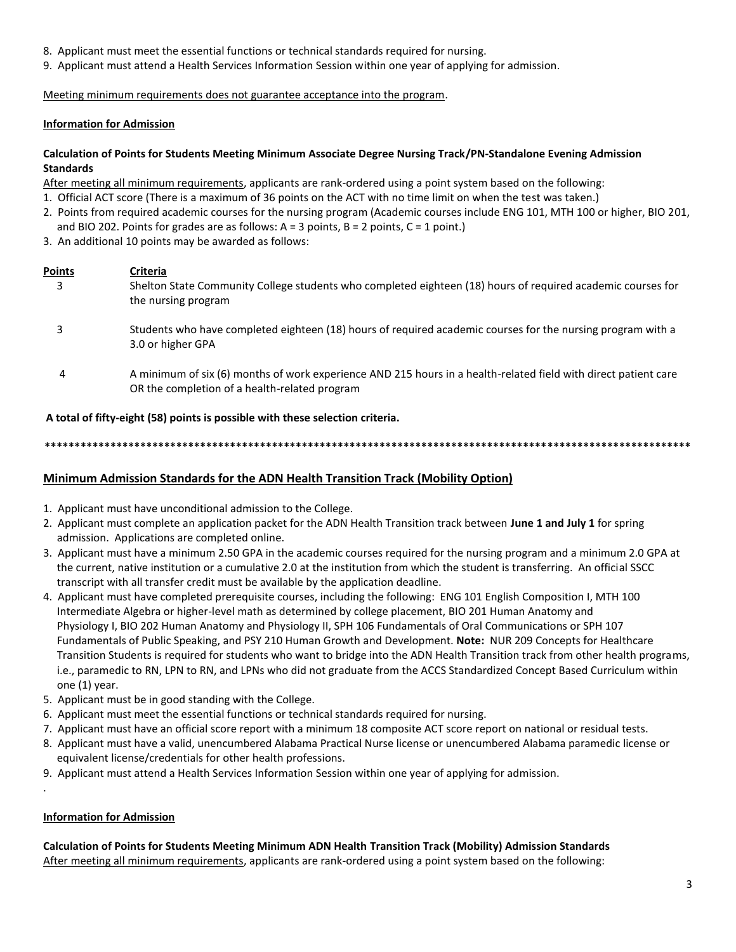- 8. Applicant must meet the essential functions or technical standards required for nursing.
- 9. Applicant must attend a Health Services Information Session within one year of applying for admission.

Meeting minimum requirements does not guarantee acceptance into the program.

### **Information for Admission**

#### **Calculation of Points for Students Meeting Minimum Associate Degree Nursing Track/PN-Standalone Evening Admission Standards**

After meeting all minimum requirements, applicants are rank-ordered using a point system based on the following:

- 1. Official ACT score (There is a maximum of 36 points on the ACT with no time limit on when the test was taken.)
- 2. Points from required academic courses for the nursing program (Academic courses include ENG 101, MTH 100 or higher, BIO 201, and BIO 202. Points for grades are as follows:  $A = 3$  points,  $B = 2$  points,  $C = 1$  point.)
- 3. An additional 10 points may be awarded as follows:

### **Points Criteria**

- 3Shelton State Community College students who completed eighteen (18) hours of required academic courses for the nursing program
- 3 Students who have completed eighteen (18) hours of required academic courses for the nursing program with a 3.0 or higher GPA
- 4 A minimum of six (6) months of work experience AND 215 hours in a health-related field with direct patient care OR the completion of a health-related program

**A total of fifty-eight (58) points is possible with these selection criteria.**

**\*\*\*\*\*\*\*\*\*\*\*\*\*\*\*\*\*\*\*\*\*\*\*\*\*\*\*\*\*\*\*\*\*\*\*\*\*\*\*\*\*\*\*\*\*\*\*\*\*\*\*\*\*\*\*\*\*\*\*\*\*\*\*\*\*\*\*\*\*\*\*\*\*\*\*\*\*\*\*\*\*\*\*\*\*\*\*\*\*\*\*\*\*\*\*\*\*\*\*\*\*\*\*\*\*\*\*\***

# **Minimum Admission Standards for the ADN Health Transition Track (Mobility Option)**

- 1. Applicant must have unconditional admission to the College.
- 2. Applicant must complete an application packet for the ADN Health Transition track between **June 1 and July 1** for spring admission. Applications are completed online.
- 3. Applicant must have a minimum 2.50 GPA in the academic courses required for the nursing program and a minimum 2.0 GPA at the current, native institution or a cumulative 2.0 at the institution from which the student is transferring. An official SSCC transcript with all transfer credit must be available by the application deadline.
- 4. Applicant must have completed prerequisite courses, including the following: ENG 101 English Composition I, MTH 100 Intermediate Algebra or higher-level math as determined by college placement, BIO 201 Human Anatomy and Physiology I, BIO 202 Human Anatomy and Physiology II, SPH 106 Fundamentals of Oral Communications or SPH 107 Fundamentals of Public Speaking, and PSY 210 Human Growth and Development. **Note:** NUR 209 Concepts for Healthcare Transition Students is required for students who want to bridge into the ADN Health Transition track from other health programs, i.e., paramedic to RN, LPN to RN, and LPNs who did not graduate from the ACCS Standardized Concept Based Curriculum within one (1) year.
- 5. Applicant must be in good standing with the College.
- 6. Applicant must meet the essential functions or technical standards required for nursing.
- 7. Applicant must have an official score report with a minimum 18 composite ACT score report on national or residual tests.
- 8. Applicant must have a valid, unencumbered Alabama Practical Nurse license or unencumbered Alabama paramedic license or equivalent license/credentials for other health professions.
- 9. Applicant must attend a Health Services Information Session within one year of applying for admission.

#### **Information for Admission**

.

#### **Calculation of Points for Students Meeting Minimum ADN Health Transition Track (Mobility) Admission Standards** After meeting all minimum requirements, applicants are rank-ordered using a point system based on the following: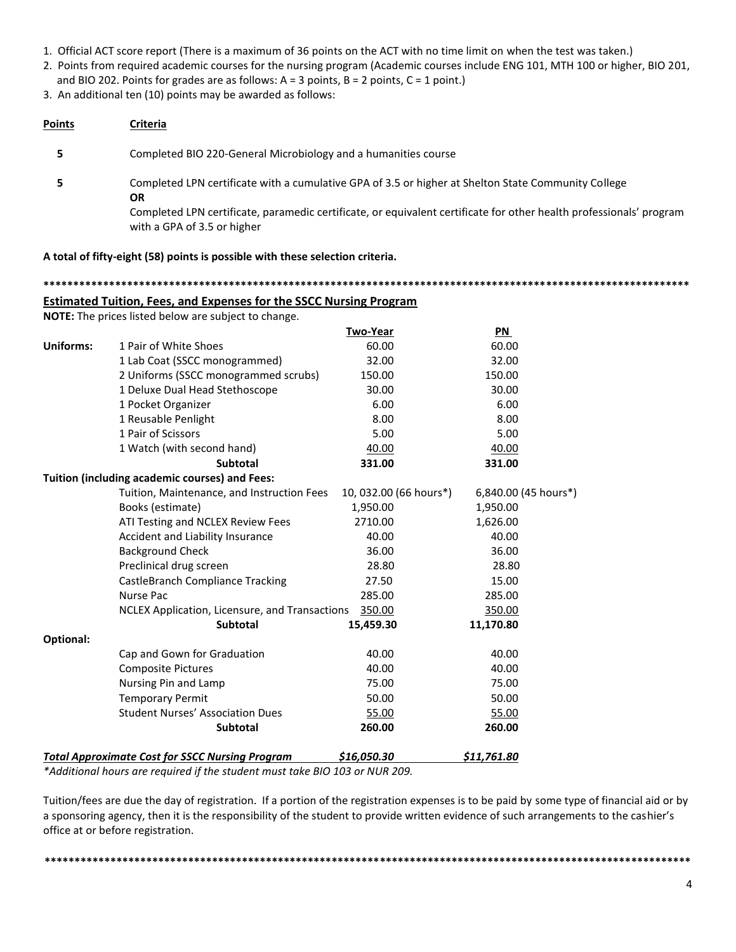- 1. Official ACT score report (There is a maximum of 36 points on the ACT with no time limit on when the test was taken.)
- 2. Points from required academic courses for the nursing program (Academic courses include ENG 101, MTH 100 or higher, BIO 201,
- and BIO 202. Points for grades are as follows:  $A = 3$  points,  $B = 2$  points,  $C = 1$  point.)

3. An additional ten (10) points may be awarded as follows:

| Points | Criteria                                                                                                                                                                                                                                                               |
|--------|------------------------------------------------------------------------------------------------------------------------------------------------------------------------------------------------------------------------------------------------------------------------|
|        | Completed BIO 220-General Microbiology and a humanities course                                                                                                                                                                                                         |
|        | Completed LPN certificate with a cumulative GPA of 3.5 or higher at Shelton State Community College<br><b>OR</b><br>Completed LPN certificate, paramedic certificate, or equivalent certificate for other health professionals' program<br>with a GPA of 3.5 or higher |

**A total of fifty-eight (58) points is possible with these selection criteria.**

**\*\*\*\*\*\*\*\*\*\*\*\*\*\*\*\*\*\*\*\*\*\*\*\*\*\*\*\*\*\*\*\*\*\*\*\*\*\*\*\*\*\*\*\*\*\*\*\*\*\*\*\*\*\*\*\*\*\*\*\*\*\*\*\*\*\*\*\*\*\*\*\*\*\*\*\*\*\*\*\*\*\*\*\*\*\*\*\*\*\*\*\*\*\*\*\*\*\*\*\*\*\*\*\*\*\*\*\***

# **Estimated Tuition, Fees, and Expenses for the SSCC Nursing Program**

**NOTE:** The prices listed below are subject to change.

|                  |                                                        | Two-Year               | PN                   |
|------------------|--------------------------------------------------------|------------------------|----------------------|
| <b>Uniforms:</b> | 1 Pair of White Shoes                                  | 60.00                  | 60.00                |
|                  | 1 Lab Coat (SSCC monogrammed)                          | 32.00                  | 32.00                |
|                  | 2 Uniforms (SSCC monogrammed scrubs)                   | 150.00                 | 150.00               |
|                  | 1 Deluxe Dual Head Stethoscope                         | 30.00                  | 30.00                |
|                  | 1 Pocket Organizer                                     | 6.00                   | 6.00                 |
|                  | 1 Reusable Penlight                                    | 8.00                   | 8.00                 |
|                  | 1 Pair of Scissors                                     | 5.00                   | 5.00                 |
|                  | 1 Watch (with second hand)                             | 40.00                  | 40.00                |
|                  | <b>Subtotal</b>                                        | 331.00                 | 331.00               |
|                  | Tuition (including academic courses) and Fees:         |                        |                      |
|                  | Tuition, Maintenance, and Instruction Fees             | 10, 032.00 (66 hours*) | 6,840.00 (45 hours*) |
|                  | Books (estimate)                                       | 1,950.00               | 1,950.00             |
|                  | ATI Testing and NCLEX Review Fees                      | 2710.00                | 1,626.00             |
|                  | Accident and Liability Insurance                       | 40.00                  | 40.00                |
|                  | <b>Background Check</b>                                | 36.00                  | 36.00                |
|                  | Preclinical drug screen                                | 28.80                  | 28.80                |
|                  | CastleBranch Compliance Tracking                       | 27.50                  | 15.00                |
|                  | <b>Nurse Pac</b>                                       | 285.00                 | 285.00               |
|                  | NCLEX Application, Licensure, and Transactions         | 350.00                 | 350.00               |
|                  | <b>Subtotal</b>                                        | 15,459.30              | 11,170.80            |
| Optional:        |                                                        |                        |                      |
|                  | Cap and Gown for Graduation                            | 40.00                  | 40.00                |
|                  | <b>Composite Pictures</b>                              | 40.00                  | 40.00                |
|                  | Nursing Pin and Lamp                                   | 75.00                  | 75.00                |
|                  | <b>Temporary Permit</b>                                | 50.00                  | 50.00                |
|                  | <b>Student Nurses' Association Dues</b>                | 55.00                  | 55.00                |
|                  | Subtotal                                               | 260.00                 | 260.00               |
|                  | <b>Total Approximate Cost for SSCC Nursing Program</b> | \$16,050.30            | \$11,761.80          |

*\*Additional hours are required if the student must take BIO 103 or NUR 209.* 

Tuition/fees are due the day of registration. If a portion of the registration expenses is to be paid by some type of financial aid or by a sponsoring agency, then it is the responsibility of the student to provide written evidence of such arrangements to the cashier's office at or before registration.

**\*\*\*\*\*\*\*\*\*\*\*\*\*\*\*\*\*\*\*\*\*\*\*\*\*\*\*\*\*\*\*\*\*\*\*\*\*\*\*\*\*\*\*\*\*\*\*\*\*\*\*\*\*\*\*\*\*\*\*\*\*\*\*\*\*\*\*\*\*\*\*\*\*\*\*\*\*\*\*\*\*\*\*\*\*\*\*\*\*\*\*\*\*\*\*\*\*\*\*\*\*\*\*\*\*\*\*\***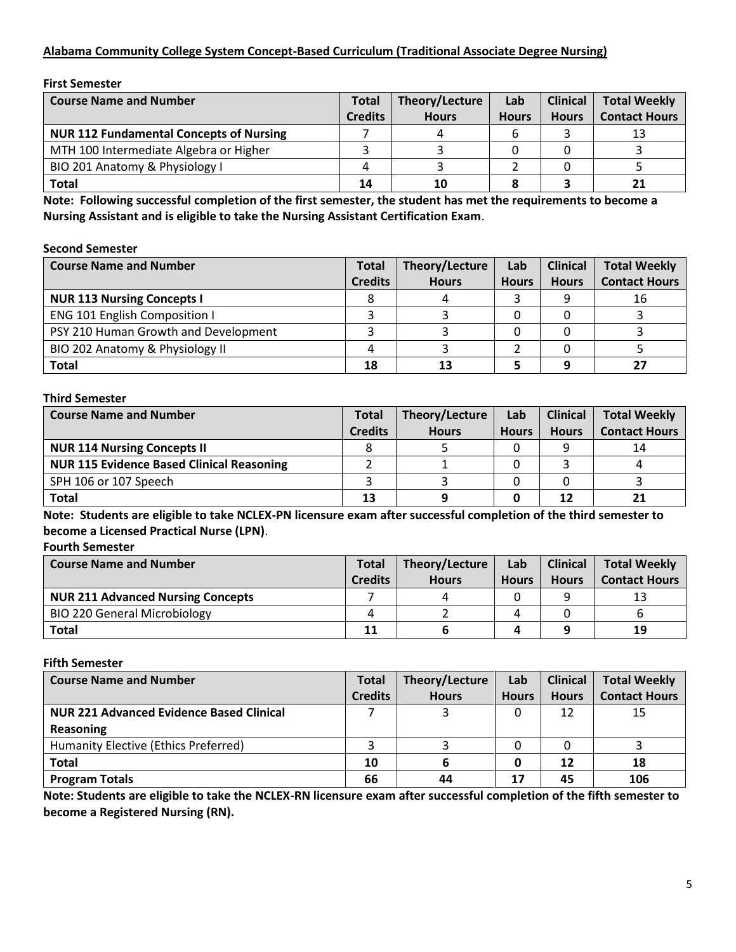# **Alabama Community College System Concept-Based Curriculum (Traditional Associate Degree Nursing)**

#### **First Semester**

| <b>Course Name and Number</b>                  | <b>Total</b>   | Theory/Lecture | Lab          | <b>Clinical</b> | <b>Total Weekly</b>  |
|------------------------------------------------|----------------|----------------|--------------|-----------------|----------------------|
|                                                | <b>Credits</b> | <b>Hours</b>   | <b>Hours</b> | <b>Hours</b>    | <b>Contact Hours</b> |
| <b>NUR 112 Fundamental Concepts of Nursing</b> |                |                |              |                 |                      |
| MTH 100 Intermediate Algebra or Higher         |                |                |              |                 |                      |
| BIO 201 Anatomy & Physiology I                 | Δ              |                |              |                 |                      |
| <b>Total</b>                                   | 14             | 10             |              |                 |                      |

**Note: Following successful completion of the first semester, the student has met the requirements to become a Nursing Assistant and is eligible to take the Nursing Assistant Certification Exam**.

#### **Second Semester**

| <b>Course Name and Number</b>        | <b>Total</b>   | Theory/Lecture | Lab          | <b>Clinical</b> | <b>Total Weekly</b>  |
|--------------------------------------|----------------|----------------|--------------|-----------------|----------------------|
|                                      | <b>Credits</b> | <b>Hours</b>   | <b>Hours</b> | <b>Hours</b>    | <b>Contact Hours</b> |
| <b>NUR 113 Nursing Concepts I</b>    |                |                |              |                 | 16                   |
| <b>ENG 101 English Composition I</b> |                |                |              |                 |                      |
| PSY 210 Human Growth and Development |                |                |              |                 |                      |
| BIO 202 Anatomy & Physiology II      |                |                |              |                 |                      |
| <b>Total</b>                         | 18             | 13             |              |                 |                      |

#### **Third Semester**

| <b>Course Name and Number</b>                    | <b>Total</b>   | Theory/Lecture | Lab          | <b>Clinical</b> | <b>Total Weekly</b>  |
|--------------------------------------------------|----------------|----------------|--------------|-----------------|----------------------|
|                                                  | <b>Credits</b> | <b>Hours</b>   | <b>Hours</b> | <b>Hours</b>    | <b>Contact Hours</b> |
| <b>NUR 114 Nursing Concepts II</b>               |                |                |              |                 | 14                   |
| <b>NUR 115 Evidence Based Clinical Reasoning</b> |                |                |              |                 |                      |
| SPH 106 or 107 Speech                            |                |                |              |                 |                      |
| Total                                            | 13             |                |              |                 |                      |

**Note: Students are eligible to take NCLEX-PN licensure exam after successful completion of the third semester to become a Licensed Practical Nurse (LPN)**.

#### **Fourth Semester**

| <b>Course Name and Number</b>            | <b>Total</b>   | Theory/Lecture | Lab          | <b>Clinical</b> | <b>Total Weekly</b>  |
|------------------------------------------|----------------|----------------|--------------|-----------------|----------------------|
|                                          | <b>Credits</b> | <b>Hours</b>   | <b>Hours</b> | <b>Hours</b>    | <b>Contact Hours</b> |
| <b>NUR 211 Advanced Nursing Concepts</b> |                | 4              |              |                 | 13                   |
| <b>BIO 220 General Microbiology</b>      |                |                |              |                 |                      |
| Total                                    | 11             |                |              |                 | 19                   |

#### **Fifth Semester**

| <b>Course Name and Number</b>                   | <b>Total</b>   | Theory/Lecture | Lab          | <b>Clinical</b> | <b>Total Weekly</b>  |
|-------------------------------------------------|----------------|----------------|--------------|-----------------|----------------------|
|                                                 | <b>Credits</b> | <b>Hours</b>   | <b>Hours</b> | <b>Hours</b>    | <b>Contact Hours</b> |
| <b>NUR 221 Advanced Evidence Based Clinical</b> |                |                |              | 12              | 15                   |
| Reasoning                                       |                |                |              |                 |                      |
| Humanity Elective (Ethics Preferred)            |                |                |              |                 |                      |
| <b>Total</b>                                    | 10             |                |              | 12              | 18                   |
| <b>Program Totals</b>                           | 66             | 44             | 17           | 45              | 106                  |

**Note: Students are eligible to take the NCLEX-RN licensure exam after successful completion of the fifth semester to become a Registered Nursing (RN).**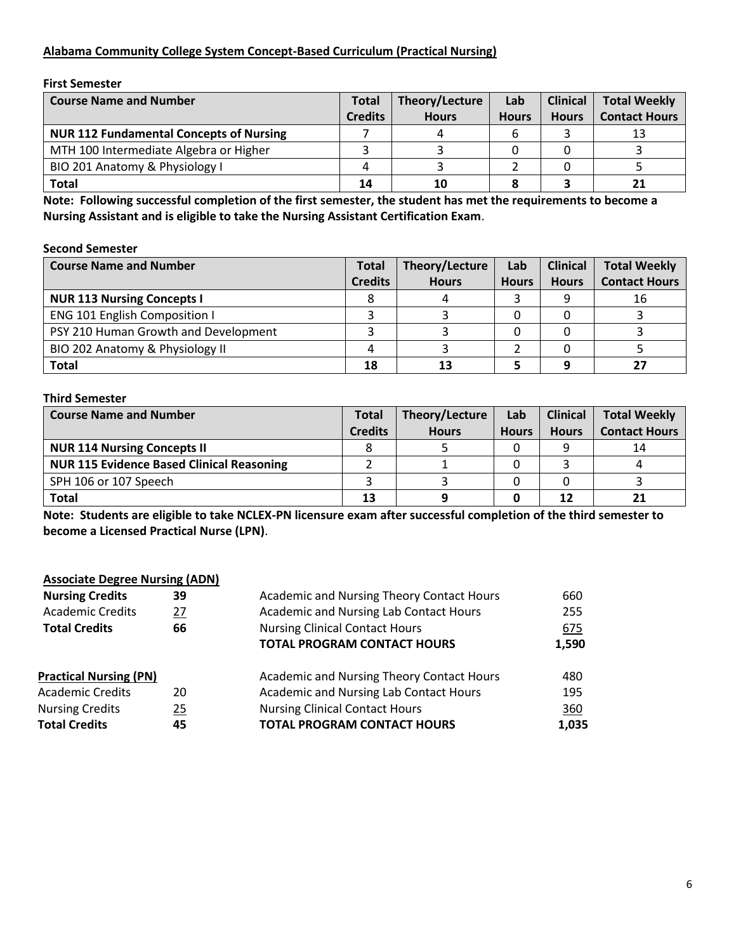# **Alabama Community College System Concept-Based Curriculum (Practical Nursing)**

**First Semester**

| <b>Course Name and Number</b>                  | <b>Total</b>   | Theory/Lecture | Lab          | <b>Clinical</b> | <b>Total Weekly</b>  |
|------------------------------------------------|----------------|----------------|--------------|-----------------|----------------------|
|                                                | <b>Credits</b> | <b>Hours</b>   | <b>Hours</b> | <b>Hours</b>    | <b>Contact Hours</b> |
| <b>NUR 112 Fundamental Concepts of Nursing</b> |                |                |              |                 | 13                   |
| MTH 100 Intermediate Algebra or Higher         |                |                |              |                 |                      |
| BIO 201 Anatomy & Physiology I                 |                |                |              |                 |                      |
| Total                                          | 14             | 10             |              |                 |                      |

**Note: Following successful completion of the first semester, the student has met the requirements to become a Nursing Assistant and is eligible to take the Nursing Assistant Certification Exam**.

#### **Second Semester**

| <b>Course Name and Number</b>        | <b>Total</b>   | Theory/Lecture | Lab          | <b>Clinical</b> | <b>Total Weekly</b>  |
|--------------------------------------|----------------|----------------|--------------|-----------------|----------------------|
|                                      | <b>Credits</b> | <b>Hours</b>   | <b>Hours</b> | <b>Hours</b>    | <b>Contact Hours</b> |
| <b>NUR 113 Nursing Concepts I</b>    |                |                |              |                 | 16                   |
| <b>ENG 101 English Composition I</b> |                |                |              |                 |                      |
| PSY 210 Human Growth and Development |                |                |              |                 |                      |
| BIO 202 Anatomy & Physiology II      |                |                |              |                 |                      |
| Total                                | 18             | 13             |              |                 |                      |

#### **Third Semester**

| <b>Course Name and Number</b>                    | <b>Total</b>   | Theory/Lecture | Lab          | <b>Clinical</b> | <b>Total Weekly</b>  |
|--------------------------------------------------|----------------|----------------|--------------|-----------------|----------------------|
|                                                  | <b>Credits</b> | <b>Hours</b>   | <b>Hours</b> | <b>Hours</b>    | <b>Contact Hours</b> |
| <b>NUR 114 Nursing Concepts II</b>               |                |                |              |                 | 14                   |
| <b>NUR 115 Evidence Based Clinical Reasoning</b> |                |                |              |                 |                      |
| SPH 106 or 107 Speech                            |                |                |              |                 |                      |
| Total                                            | 13             |                |              |                 |                      |

**Note: Students are eligible to take NCLEX-PN licensure exam after successful completion of the third semester to become a Licensed Practical Nurse (LPN)**.

## **Associate Degree Nursing (ADN)**

| 255   |
|-------|
| 675   |
| 1,590 |
| 480   |
| 195   |
| 360   |
| 1,035 |
|       |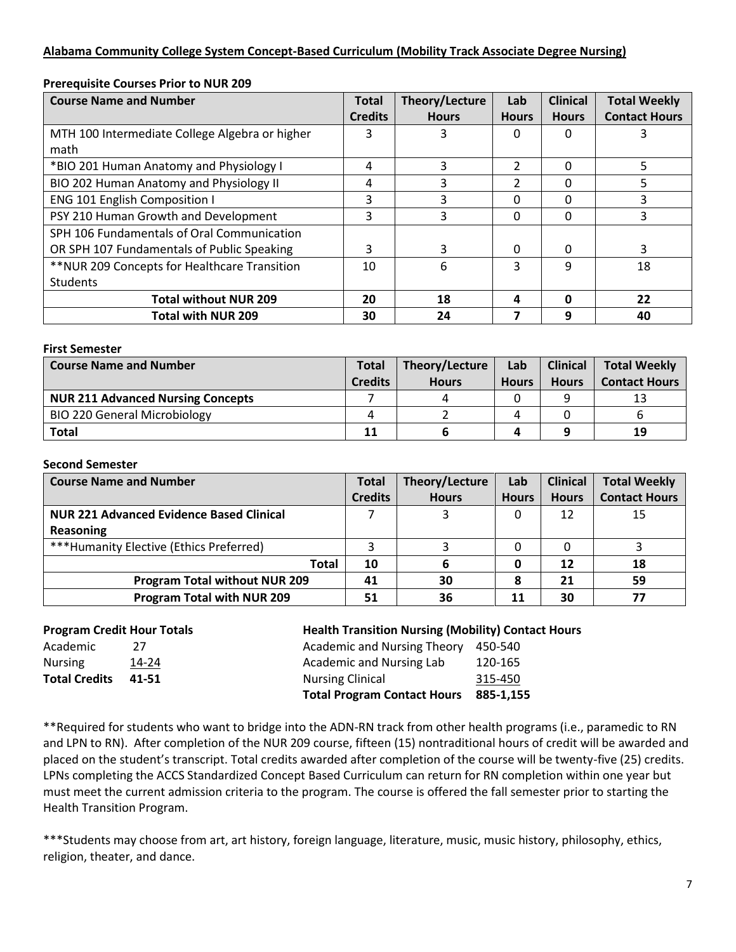# **Alabama Community College System Concept-Based Curriculum (Mobility Track Associate Degree Nursing)**

| <b>Course Name and Number</b>                  | <b>Total</b>   | Theory/Lecture | Lab           | <b>Clinical</b> | <b>Total Weekly</b>  |
|------------------------------------------------|----------------|----------------|---------------|-----------------|----------------------|
|                                                | <b>Credits</b> | <b>Hours</b>   | <b>Hours</b>  | <b>Hours</b>    | <b>Contact Hours</b> |
| MTH 100 Intermediate College Algebra or higher | 3              |                | 0             | 0               |                      |
| math                                           |                |                |               |                 |                      |
| *BIO 201 Human Anatomy and Physiology I        | 4              | 3              | $\mathcal{P}$ | 0               | 5                    |
| BIO 202 Human Anatomy and Physiology II        | 4              | 3              | 2             | 0               | 5.                   |
| <b>ENG 101 English Composition I</b>           | 3              | 3              | 0             | 0               |                      |
| PSY 210 Human Growth and Development           | 3              | 3              | 0             | 0               | 3                    |
| SPH 106 Fundamentals of Oral Communication     |                |                |               |                 |                      |
| OR SPH 107 Fundamentals of Public Speaking     | 3              | 3              | 0             | 0               | 3                    |
| ** NUR 209 Concepts for Healthcare Transition  | 10             | 6              | 3             | q               | 18                   |
| Students                                       |                |                |               |                 |                      |
| <b>Total without NUR 209</b>                   | 20             | 18             | 4             | O               | 22                   |
| <b>Total with NUR 209</b>                      | 30             | 24             |               | q               | 40                   |

### **Prerequisite Courses Prior to NUR 209**

#### **First Semester**

| <b>Course Name and Number</b>            | <b>Total</b>   | Theory/Lecture | Lab          | <b>Clinical</b> | <b>Total Weekly</b>  |
|------------------------------------------|----------------|----------------|--------------|-----------------|----------------------|
|                                          | <b>Credits</b> | <b>Hours</b>   | <b>Hours</b> | <b>Hours</b>    | <b>Contact Hours</b> |
| <b>NUR 211 Advanced Nursing Concepts</b> |                | 4              |              |                 | 13                   |
| <b>BIO 220 General Microbiology</b>      |                |                |              |                 |                      |
| <b>Total</b>                             | 11             |                |              |                 | 19                   |

#### **Second Semester**

| <b>Course Name and Number</b>                   | <b>Total</b>   | Theory/Lecture | Lab          | <b>Clinical</b> | <b>Total Weekly</b>  |
|-------------------------------------------------|----------------|----------------|--------------|-----------------|----------------------|
|                                                 | <b>Credits</b> | <b>Hours</b>   | <b>Hours</b> | <b>Hours</b>    | <b>Contact Hours</b> |
| <b>NUR 221 Advanced Evidence Based Clinical</b> |                |                |              | 12              | 15                   |
| Reasoning                                       |                |                |              |                 |                      |
| ***Humanity Elective (Ethics Preferred)         |                |                |              |                 |                      |
| <b>Total</b>                                    | 10             | 6              |              | 12              | 18                   |
| <b>Program Total without NUR 209</b>            | 41             | 30             |              | 21              | 59                   |
| <b>Program Total with NUR 209</b>               | 51             | 36             | 11           | 30              |                      |

| 27    |
|-------|
| 14-24 |
| 41-51 |
|       |

# **Program Credit Hour Totals Health Transition Nursing (Mobility) Contact Hours**

|                      |       | <b>Total Program Contact Hours</b>  | 885-1.155 |  |
|----------------------|-------|-------------------------------------|-----------|--|
| <b>Total Credits</b> | 41-51 | <b>Nursing Clinical</b>             | 315-450   |  |
| Nursing              | 14-24 | Academic and Nursing Lab            | 120-165   |  |
| Academic             | 77    | Academic and Nursing Theory 450-540 |           |  |
|                      |       |                                     |           |  |

\*\*Required for students who want to bridge into the ADN-RN track from other health programs (i.e., paramedic to RN and LPN to RN). After completion of the NUR 209 course, fifteen (15) nontraditional hours of credit will be awarded and placed on the student's transcript. Total credits awarded after completion of the course will be twenty-five (25) credits. LPNs completing the ACCS Standardized Concept Based Curriculum can return for RN completion within one year but must meet the current admission criteria to the program. The course is offered the fall semester prior to starting the Health Transition Program.

\*\*\*Students may choose from art, art history, foreign language, literature, music, music history, philosophy, ethics, religion, theater, and dance.